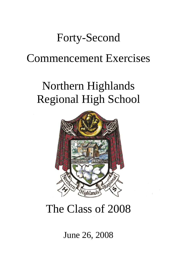# Forty-Second

## Commencement Exercises

# Northern Highlands Regional High School



# The Class of 2008

## June 26, 2008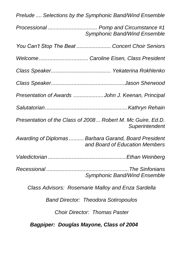| Prelude  Selections by the Symphonic Band/Wind Ensemble                                 |  |
|-----------------------------------------------------------------------------------------|--|
| Processional  Pomp and Circumstance #1<br><b>Symphonic Band/Wind Ensemble</b>           |  |
| You Can't Stop The Beat  Concert Choir Seniors                                          |  |
|                                                                                         |  |
|                                                                                         |  |
|                                                                                         |  |
| Presentation of Awards John J. Keenan, Principal                                        |  |
|                                                                                         |  |
| Presentation of the Class of 2008 Robert M. Mc Guire, Ed.D.<br>Superintendent           |  |
| Awarding of Diplomas  Barbara Garand, Board President<br>and Board of Education Members |  |
|                                                                                         |  |
| <b>Symphonic Band/Wind Ensemble</b>                                                     |  |
| Class Advisors: Rosemarie Malloy and Enza Sardella                                      |  |
| <b>Band Director: Theodora Sotiropoulos</b>                                             |  |
| <b>Choir Director: Thomas Paster</b>                                                    |  |
| <b>Bagpiper: Douglas Mayone, Class of 2004</b>                                          |  |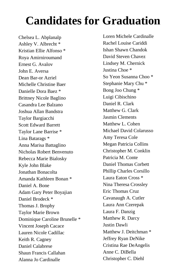# **Candidates for Graduation**

Chelsea L. Abplanalp Ashley V. Albrecht \* Kristian Ellie Alfonso \* Roya Amirniroumand Ernest G. Avalov John E. Aversa Dean Bar-or Azriel Michelle Christine Baer Danielle Dora Baez \* Brittney Nicole Baglino Casandra Lee Balzano Joshua Allan Bandstra Taylor Bargiacchi Scott Edward Barrett Taylor Lane Barrise \* Lina Batarags \* Anna Marisa Battaglino Nicholas Robert Benvenuto Rebecca Marie Bialosky Kyle John Blake Jonathan Bonacolta Amanda Kathleen Bonan \* Daniel A. Bone Adam Gary Peter Boyajian Daniel Brodeck \* Thomas J. Brophy Taylor Marie Brown Dominique Caroline Brunelle \* Vincent Joseph Cacace Lauren Nicole Cadillac Keith R. Cagney Daniel Calabrese Shaun Francis Callahan Alanna Jo Cardinalle

Loren Michele Cardinalle Rachel Louise Cariddi Ishan Shawn Chandok David Steven Chavez Lindsey M. Chernick Justina Choe \* So Yeon Susanna Choo \* Stephanie Mary Chu \* Bong Joo Chung \* Luigi Cibischino Daniel R. Clark Matthew G. Clark Jasmin Clements Matthew L. Cohen Michael David Colarusso Amy Teresa Cole Megan Patricia Collins Christopher M. Conklin Patricia M. Conte Daniel Thomas Corbett Phillip Charles Corsillo Laura Eaton Cross \* Nina Theresa Crossley Eric Thomas Cruz Cavanaugh A. Cutler Laura Ann Czerepak Laura F. Danzig Matthew R. Darcy Justin Dawli Matthew J. Deitchman \* Jeffrey Ryan DeNike Cristina Rae DeAngelis Anne C. DiBella Christopher C. Diehl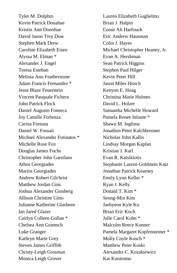Tyler M. Dolphin Kevin Patrick Donahue Kristin Ann Donohue David Jason Trey Dow Stephen Mark Drew Caroline Elizabeth Eisen Alyssa M. Elman \* Alexander J. Engel Teresa Esteban Melissa Ann Featherstone Adam Francis Fernandez \* Jesse Blaze Feuerstein Vincent Pasquale Fichera John Patrick Flock Daniel Augusto Fonseca Joy Camille Forlenza Carina Fortuna Daniel W. Fossati Michael Alexander Fotinatos \* Michelle Rose Fox Douglas James Fuchs Christopher John Garofano Athos Georgiades Marios Georgiades Andrew Robert Gilchrist Matthew Jordan Gins Joshua Alexander Ginsberg Allison Christine Gitto Julianne Katherine Glasheen Ian Jared Glazer Caitlyn Colleen Gollan \* Chelsea Ann Gramsch Luke Granger Kathryn Marie Grey Steven James Griffith Christy-Leigh Grosman Monica Leigh Grover

Lauren Elizabeth Guglielmo Brian J. Halpin Ľemir Ali Harfouch Eric Andrew Hausman Colin J. Hayes Michael Christopher Heaney, Jr. Evan A. Hershman Sean Patrick Higgins Stephen Paul Hilger Kevin Peter Hill Jason Miles Hirsch Kenyon E. Hoag Christina Marie Holmes David L. Holzer Samantha Michelle Howard Pamela Renee Infante \* Shawn M. Inglima Jonathon Peter Kalchbrenner Nicholas John Kallis Lindsay Morgan Kaplan Kristian J. Karl Evan R. Katsikiotis Stephanie Lauren Goldstein Katz Jonathan Patrick Kearney Emily Lynn Keller \* Ryan J. Kelly Donald T. Kim \* Seong-Min Kim Jaehyeon Kyle Ko Brian Eric Koch Julie Carol Kohn \* Malcolm Reece Konner Pamela Margaret Kopfensteiner \* Molly Coyle Kosch \* Matthew Peter Koski Alexandra C. Kozakiewicz Kai Kunitomo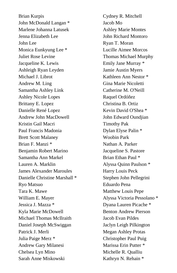Brian Kurpis John McDonald Langan \* Marlene Johanna Latusek Jenna Elizabeth Lee John Lee Monica Eunkyung Lee \* Juliet Rose Levine Jacqueline K. Lewis Ashleigh Ryan Leyden Michael J. Librot Andrew M. Ling Samantha Ashley Link Ashley Nicole Lopes Brittany E. Lopez Danielle René Lopez Andrew John MacDowell Kristin Gail Macri Paul Francis Madonia Brett Scott Malaney Brian F. Manzi \* Benjamin Robert Marino Samantha Ann Markel Lauren A. Marklin James Alexander Maroules Danielle Christine Marshall \* Ryo Matsuo Tara K. Mawe William E. Mayer Jessica J. Mazza \* Kyla Marie McDowell Michael Thomas McIlraith Daniel Joseph McSwiggan Patrick J. Merli Julia Paige Merz \* Andrew Gary Milanesi Chelsea Lyn Mino Sarah Anne Miskowski

Cydney R. Mitchell Jacob Mo Ashley Marie Montes John Richard Montoro Ryan T. Moran Lucille Aimee Morcos Thomas Michael Murphy Emily Jane Murray \* Jamie Austin Myers Kathleen Ann Nestor \* Gina Marie Nicoletti Catherine M. O'Neill Raquel Ordóñez Christina B. Ortiz Kevin David O'Shea \* John Edward Oundjian Timothy Pak Dylan Elyse Palin \* Woobin Park Nathan A. Parker Jacqueline S. Pastore Brian Ethan Paul \* Alyssa Quinn Paulson \* Harry Louis Peck Stephen John Pellegrini Eduardo Pena Matthew Louis Pepe Alyssa Victoria Pessolano \* Dyana Lauren Picache \* Benton Andrew Pierson Jacob Evan Pildes Jaclyn Leigh Pilkington Megan Ashley Protas Christopher Paul Puig Marissa Erin Putter \* Michelle R. Qualliu Kathryn N. Rehain \*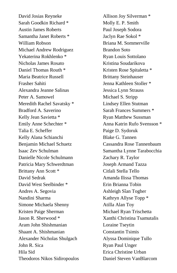David Josias Reyneke Sarah Goodkin Richard \* Austin James Roberts Samantha Janet Roberts \* William Robson Michael Andrew Rodriguez Yekaterina Rokhlenko \* Nicholas James Rosato Daniel Thomas Routh \* Maria Beatrice Russell Frasher Sahiti Alexandra Jeanne Salinas Peter A. Samowel Meredith Rachel Savatsky \* Bradford A. Saverino Kelly Jean Savietta \* Emily Anne Schechter \* Talia E. Scheffer Kelly Alana Schianchi Benjamin Michael Schuetz Isaac Zev Schulman Danielle Nicole Schulmann Patricia Mary Schwerdtman Brittany Ann Scott \* David Sedrak David West Seelbinder \* Andres A. Segovia Nandini Sharma Simone Michaela Shenny Kristen Paige Sherman Jason R. Sherwood \* Aram John Shishmanian Shaant A. Shishmanian Alexander Nicholas Shulgach John R. Sica Hila Sid Theodoros Nikos Sidiropoulos

Allison Joy Silverman \* Molly E. P. Smith Paul Joseph Sodora Jaclyn Rae Sokol \* Briana M. Sommerville Brandon Soto Ryan Louis Sottolano Kristina Soudarikova Kristen Rose Spitaletta \* Brittany Steinhauser Jenna Kathleen Stoller \* Jessica Lynn Strauss Michael S. Stripp Lindsey Ellen Stutman Sarah Frances Summers \* Ryan Matthew Sussman Anna Katrin Rufo Svensson \* Paige D. Sydoruk Blake G. Tannen Cassandra Rose Tannenbaum Samantha Lynne Tarabocchia Zachary R. Taylor Joseph Armand Tazza Citlali Stella Tello Amanda Ilissa Thomas Erin Brianna Tobin Ashleigh Sîan Togher Kathryn Allyse Topp \* Atilla Alan Toy Michael Ryan Trischetta Xanthi Christina Tsamutalis Loraine Tseytin Constantin Tsimis Alyssa Dominique Tullo Ryan Paul Unger Erica Christine Urban Daniel Steven VanBlarcom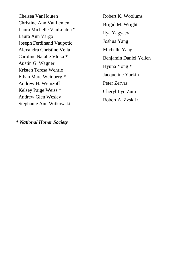Chelsea VanHouten Christine Ann VanLenten Laura Michelle VanLenten \* Laura Ann Vargo Joseph Ferdinand Vaupotic Alexandra Christine Vella Caroline Natalie Vloka \* Austin G. Wagner Kristen Teresa Wehrle Ethan Marc Weinberg \* Andrew H. Weinzoff Kelsey Paige Weiss \* Andrew Glen Wesley Stephanie Ann Witkowski

Robert K. Woolums Brigid M. Wright Ilya Yagyaev Joshua Yang Michelle Yang Benjamin Daniel Yellen Hyuna Yong \* Jacqueline Yurkin Peter Zervas Cheryl Lyn Zura Robert A. Zysk Jr.

*\* National Honor Society*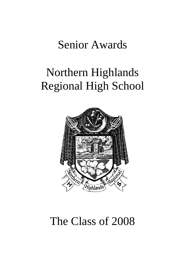## Senior Awards

# Northern Highlands Regional High School



# The Class of 2008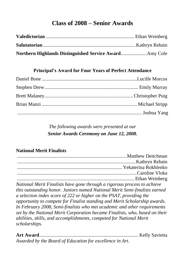## **Class of 2008 – Senior Awards**

### **Principal's Award for Four Years of Perfect Attendance**

*The following awards were presented at our Senior Awards Ceremony on June 12, 2008.*

### **National Merit Finalists**

| National Merit Finalists have gone through a rigorous process to achieve    |
|-----------------------------------------------------------------------------|
| this outstanding honor. Juniors named National Merit Semi-finalists earned  |
| a selection index score of 222 or higher on the PSAT, providing the         |
| opportunity to compete for Finalist standing and Merit Scholarship awards.  |
| In February 2008, Semi-finalists who met academic and other requirements    |
| set by the National Merit Corporation became Finalists, who, based on their |
| abilities, skills, and accomplishments, competed for National Merit         |
| scholarships.                                                               |

| Awarded by the Board of Education for excellence in Art. |  |
|----------------------------------------------------------|--|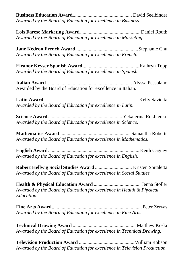**Business Education Award**................................................ David Seelbinder *Awarded by the Board of Education for excellence in Business*.

**Lois Farese Marketing Award**.................................................Daniel Routh *Awarded by the Board of Education for excellence in Marketing.*

**Jane Kedron French Award**...................................................Stephanie Chu *Awarded by the Board of Education for excellence in French.*

**Eleanor Keyser Spanish Award**..............................................Kathryn Topp *Awarded by the Board of Education for excellence in Spanish.*

**Italian Award** .................................................................... Alyssa Pessolano Awarded by the Board of Education for excellence in Italian.

**Latin Award** ............................................................................ Kelly Savietta *Awarded by the Board of Education for excellence in Latin.*

**Science Award** ............................................................ Yekaterina Rokhlenko *Awarded by the Board of Education for excellence in Science.*

**Mathematics Award**..........................................................Samantha Roberts *Awarded by the Board of Education for excellence in Mathematics.*

**English Award**.......................................................................... Keith Cagney *Awarded by the Board of Education for excellence in English.*

**Robert Hellwig Social Studies Award** .............................. Kristen Spitaletta *Awarded by the Board of Education for excellence in Social Studies.*

**Health & Physical Education Award** ...................................... Jenna Stoller *Awarded by the Board of Education for excellence in Health & Physical Education.*

**Fine Arts Award**......................................................................... Peter Zervas *Awarded by the Board of Education for excellence in Fine Arts.*

**Technical Drawing Award** ................................................... Matthew Koski *Awarded by the Board of Education for excellence in Technical Drawing.*

**Television Production Award** .............................................William Robson *Awarded by the Board of Education for excellence in Television Production.*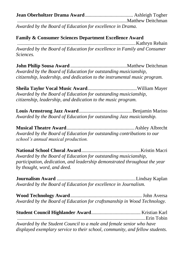**Jean Oberholtzer Drama Award**....................................... Ashleigh Togher .........................................................................................Matthew Deitchman *Awarded by the Board of Education for excellence in Drama.*

### **Family & Consumer Sciences Department Excellence Award**

................................................................................................Kathryn Rehain *Awarded by the Board of Education for excellence in Family and Consumer Sciences.*

**John Philip Sousa Award** ..............................................Matthew Deitchman *Awarded by the Board of Education for outstanding musicianship, citizenship, leadership, and dedication to the instrumental music program.* 

**Sheila Taylor Vocal Music Award**........................................William Mayer *Awarded by the Board of Education for outstanding musicianship, citizenship, leadership, and dedication to the music program.*

**Louis Armstrong Jazz Award**...........................................Benjamin Marino *Awarded by the Board of Education for outstanding Jazz musicianship.*

**Musical Theatre Award**.......................................................Ashley Albrecht *Awarded by the Board of Education for outstanding contributions to our school's annual musical production.*

**National School Choral Award**................................................Kristin Macri *Awarded by the Board of Education for outstanding musicianship, participation, dedication, and leadership demonstrated throughout the year by thought, word, and deed.*

**Journalism Award** ................................................................Lindsay Kaplan *Awarded by the Board of Education for excellence in Journalism.*

**Wood Technology Award**.......................................................... John Aversa *Awarded by the Board of Education for craftsmanship in Wood Technology.*

**Student Council Highlander Award**........................................ Kristian Karl ........................................................................................................Erin Tobin

*Awarded by the Student Council to a male and female senior who have displayed exemplary service to their school, community, and fellow students.*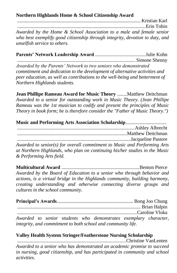**Northern Highlands Home & School Citizenship Award**

.................................................................................................... Kristian Karl ........................................................................................................Erin Tobin *Awarded by the Home & School Association to a male and female senior who best exemplify good citizenship through integrity, devotion to duty, and unselfish service to others.*

**Parents' Network Leadership Award** .........................................Julie Kohn ................................................................................................Simone Shenny

*Awarded by the Parents' Network to two seniors who demonstrated commitment and dedication to the development of alternative activities and peer education, as well as contributions to the well-being and betterment of Northern Highlands students.*

**Jean Phillipe Rameau Award for Music Theory** ........Matthew Deitchman *Awarded to a senior for outstanding work in Music Theory. (Jean Phillipe Rameau was the 1st musician to codify and present the principles of Music Theory in book form; he is therefore consider the "Father of Music Theory.")*

| <b>Music and Performing Arts Association Scholarship</b>                   |  |
|----------------------------------------------------------------------------|--|
|                                                                            |  |
|                                                                            |  |
|                                                                            |  |
| Awarded to senior(s) for overall commitment to Music and Performing Arts   |  |
| at Northern Highlands, who plan on continuing his/her studies in the Music |  |
| & Performing Arts field.                                                   |  |

**Multicultural Award** ...............................................................Benton Pierce *Awarded by the Board of Education to a senior who through behavior and actions, is a virtual bridge in the Highlands community, building harmony, creating understanding and otherwise connecting diverse groups and cultures in the school community.*

**Principal's Awards**.............................................................. Bong Joo Chung .................................................................................................... Brian Halpin .................................................................................................Caroline Vloka *Awarded to senior students who demonstrates exemplary character, integrity, and commitment to both school and community life.*

### **Valley Health System Stringer/Featherstone Nursing Scholarship**

........................................................................................Christine VanLenten *Awarded to a senior who has demonstrated an academic promise to succeed in nursing, good citizenship, and has participated in community and school activities.*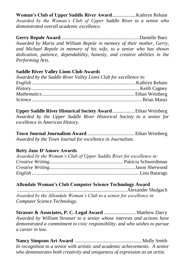**Woman's Club of Upper Saddle River Award**...................Kathryn Rehain *Awarded by the Woman's Club of Upper Saddle River to a senior who demonstrated overall academic excellence.*

**Gerry Repole Award**................................................................Danielle Baez *Awarded by Maria and William Repole in memory of their mother, Gerry, and Michael Repole in memory of his wife, to a senior who has shown dedication, patience, dependability, honesty, and creative abilities in the Performing Arts.*

### **Saddle River Valley Lions Club Awards**

| Awarded by the Saddle River Valley Lions Club for excellence in: |  |
|------------------------------------------------------------------|--|
|                                                                  |  |
|                                                                  |  |
|                                                                  |  |
|                                                                  |  |

**Upper Saddle River Historical Society Award**.................. Ethan Weinberg *Awarded by the Upper Saddle River Historical Society to a senior for excellence in American History.*

**Town Journal Journalism Award** ...................................... Ethan Weinberg *Awarded by the Town Journal for excellence in Journalism.*

### **Betty Jane D'Amore Awards**

| Awarded by the Woman's Club of Upper Saddle River for excellence in: |  |
|----------------------------------------------------------------------|--|
|                                                                      |  |
|                                                                      |  |
|                                                                      |  |

### **Allendale Woman's Club Computer Science Technology Award**

.........................................................................................Alexander Shulgach *Awarded by the Allendale Woman's Club to a senior for excellence in Computer Science Technology.*

**Strasser & Associates, P. C. Legal Award** .......................... Matthew Darcy *Awarded by William Strasser to a senior whose interests and actions have demonstrated a commitment to civic responsibility, and who wishes to pursue a career in law.*

**Nancy Simpson Art Award** ......................................................Molly Smith *In recognition to a senior with artistic and academic achievements. A senior who demonstrates both creativity and uniqueness of expression as an artist.*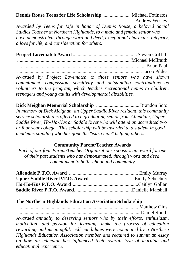**Dennis Rouse Teens for Life Scholarship** ....................... Michael Fotinatos

............................................................................................... Andrew Wesley *Awarded by Teens for Life in honor of Dennis Rouse, a beloved Social Studies Teacher at Northern Highlands, to a male and female senior who have demonstrated, through word and deed, exceptional character, integrity, a love for life, and consideration for others.*

**Project Lovematch Award** .................................................... Steven Griffith ............................................................................................Michael McIlraith ........................................................................................................ Brian Paul ..................................................................................................... Jacob Pildes *Awarded by Project Lovematch to those seniors who have shown* 

*commitment, compassion, sensitivity and outstanding contributions as volunteers to the program, which teaches recreational tennis to children, teenagers and young adults with developmental disabilities.*

**Dick Meighan Memorial Scholarship** ...................................Brandon Soto *In memory of Dick Meighan, an Upper Saddle River resident, this community service scholarship is offered to a graduating senior from Allendale, Upper Saddle River, Ho-Ho-Kus or Saddle River who will attend an accredited two or four year college. This scholarship will be awarded to a student in good academic standing who has gone the "extra mile" helping others.*

#### **Community Parent/Teacher Awards**

*Each of our four Parent/Teacher Organizations sponsors an award for one of their past students who has demonstrated, through word and deed, commitment to both school and community*

#### **The Northern Highlands Education Association Scholarship**

.................................................................................................. Matthew Gins ....................................................................................................Daniel Routh *Awarded annually to deserving seniors who by their efforts, enthusiasm, motivation, and passion for learning, make the process of education rewarding and meaningful. All candidates were nominated by a Northern Highlands Education Association member and required to submit an essay on how an educator has influenced their overall love of learning and educational experience.*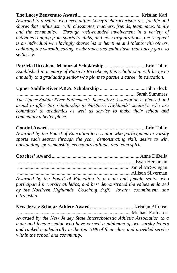**The Lacey Benvenuto Award**................................................... Kristian Karl *Awarded to a senior who exemplifies Lacey's characteristic zest for life and shares that enthusiasm with classmates, teachers, friends, teammates, family and the community. Through well-rounded involvement in a variety of activities ranging from sports to clubs, and civic organizations, the recipient is an individual who lovingly shares his or her time and talents with others, radiating the warmth, caring, exuberance and enthusiasm that Lacey gave so selflessly.*

**Patricia Riccobene Memorial Scholarship**..................................Erin Tobin *Established in memory of Patricia Riccobene, this scholarship will be given annually to a graduating senior who plans to pursue a career in education.*

**Upper Saddle River P.B.A. Scholarship** .....................................John Flock ................................................................................................Sarah Summers *The Upper Saddle River Policemen's Benevolent Association is pleased and proud to offer this scholarship to Northern Highlands' senior(s) who are committed to academics as well as service to make their school and community a better place.*

**Contini Award**...............................................................................Erin Tobin *Awarded by the Board of Education to a senior who participated in varsity sports each season through the year, demonstrating skill, desire to win, outstanding sportsmanship, exemplary attitude, and team spirit.*

**Coaches' Award** ....................................................................... Anne DiBella ................................................................................................Evan Hershman .......................................................................................... Daniel McSwiggan ............................................................................................Allison Silverman

*Awarded by the Board of Education to a male and female senior who participated in varsity athletics, and best demonstrated the values endorsed by the Northern Highlands' Coaching Staff: loyalty, commitment, and citizenship.*

**New Jersey Scholar Athlete Award**................................... Kristian Alfonso ............................................................................................ Michael Fotinatos *Awarded by the New Jersey State Interscholastic Athletic Association to a male and female senior who have earned a minimum of two varsity letters and ranked academically in the top 10% of their class and provided service within the school and community.*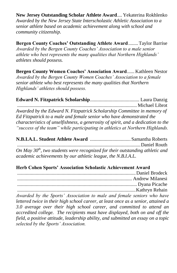**New Jersey Outstanding Scholar Athlete Award**.... Yekaterina Rokhlenko *Awarded by the New Jersey State Interscholastic Athletic Association to a senior athlete based on academic achievement along with school and community citizenship.*

**Bergen County Coaches' Outstanding Athlete Award**........Taylor Barrise *Awarded by the Bergen County Coaches' Association to a male senior athlete who best represents the many qualities that Northern Highlands' athletes should possess.*

**Bergen County Women Coaches' Association Award**...... Kathleen Nestor *Awarded by the Bergen County Women Coaches' Association to a female senior athlete who best represents the many qualities that Northern Highlands' athletes should possess.*

**Edward N. Fitzpatrick Scholarship**........................................ Laura Danzig ................................................................................................. Michael Librot *Awarded by the Edward N. Fitzpatrick Scholarship Committee in memory of Ed Fitzpatrick to a male and female senior who have demonstrated the characteristics of unselfishness, a generosity of spirit, and a dedication to the "success of the team" while participating in athletics at Northern Highlands.*

**N.B.I.A.L. Student Athlete Award** .................................Samantha Roberts *....................................................................................................*Daniel Routh *On May 30th, two students were recognized for their outstanding athletic and academic achievements by our athletic league, the N.B.I.A.L.*

### **Herb Cohen Sports' Association Scholastic Achievement Award**

*Awarded by the Sports' Association to male and female seniors who have lettered twice in their high school career, at least once as a senior, attained a 3.0 average over their high school career, and committed to attend an accredited college. The recipients must have displayed, both on and off the field, a positive attitude, leadership ability, and submitted an essay on a topic selected by the Sports' Association.*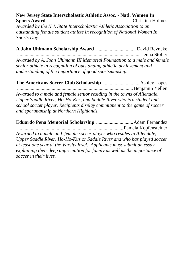## **New Jersey State Interscholastic Athletic Assoc. - Natl. Women In**

**Sports Award** .....................................................................Christina Holmes *Awarded by the N.J. State Interscholastic Athletic Association to an outstanding female student athlete in recognition of National Women In Sports Day.*

| Awarded by A. John Uhlmann III Memorial Foundation to a male and female |  |
|-------------------------------------------------------------------------|--|
| senior athlete in recognition of outstanding athletic achievement and   |  |
| understanding of the importance of good sportsmanship.                  |  |

**The Americans Soccer Club Scholarship** .............................. Ashley Lopes *..............................................................................................*Benjamin Yellen *Awarded to a male and female senior residing in the towns of Allendale, Upper Saddle River, Ho-Ho-Kus, and Saddle River who is a student and school soccer player. Recipients display commitment to the game of soccer and sportmanship at Northern Highlands.*

**Eduardo Pena Memorial Scholarship** ..............................Adam Fernandez ......................................................................................Pamela Kopfensteiner *Awarded to a male and female soccer player who resides in Allendale, Upper Saddle River, Ho-Ho-Kus or Saddle River and who has played soccer at least one year at the Varsity level. Applicants must submit an essay explaining their deep appreciation for family as well as the importance of soccer in their lives.*